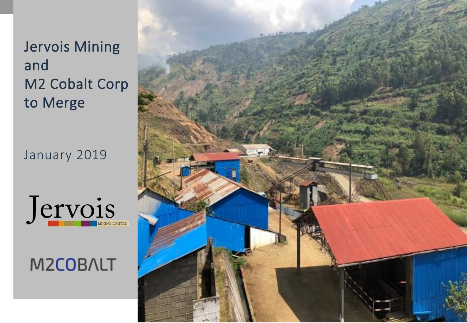# Jervois Mining and M2 Cobalt Corp to Merge

January 2019





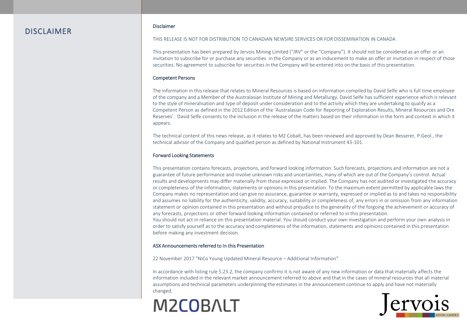### DISCLAIMER

#### Disclaimer

THIS RELEASE IS NOT FOR DISTRIBUTION TO CANADIAN NEWSIRE SERVICES OR FOR DISSEMINATION IN CANADA

This presentation has been prepared by Jervois Mining Limited ("JRV" or the "Company"). It should not be considered as an offer or an invitation to subscribe for or purchase any securities in the Company or as an inducement to make an offer or invitation in respect of those securities. No agreement to subscribe for securities in the Company will be entered into on the basis of this presentation.

#### Competent Persons

The information in this release that relates to Mineral Resources is based on information compiled by David Selfe who is full time employee of the company and a Member of the Australasian Institute of Mining and Metallurgy. David Selfe has sufficient experience which is relevant to the style of mineralisation and type of deposit under consideration and to the activity which they are undertaking to qualify as a Competent Person as defined in the 2012 Edition of the 'Australasian Code for Reporting of Exploration Results, Mineral Resources and Ore Reserves'. David Selfe consents to the inclusion in the release of the matters based on their information in the form and context in which it appears.

The technical content of this news release, as it relates to M2 Cobalt, has been reviewed and approved by Dean Besserer, P.Geol., the technical advisor of the Company and qualified person as defined by National Instrument 43-101.

#### Forward Looking Statements

This presentation contains forecasts, projections, and forward looking information. Such forecasts, projections and information are not a guarantee of future performance and involve unknown risks and uncertainties, many of which are out of the Company's control. Actual results and developments may differ materially from those expressed or implied. The Company has not audited or investigated the accuracy or completeness of the information, statements or opinions in this presentation. To the maximum extent permitted by applicable laws the Company makes no representation and can give no assurance, guarantee or warranty, expressed or implied as to and takes no responsibility and assumes no liability for the authenticity, validity, accuracy, suitability or completeness of, any errors in or omission from any information statement or opinion contained in this presentation and without prejudice to the generality of the forgoing the achievement or accuracy of any forecasts, projections or other forward looking information contained or referred to in this presentation.

You should not act in reliance on this presentation material. You should conduct your own investigation and perform your own analysis in order to satisfy yourself as to the accuracy and completeness of the information, statements and opinions contained in this presentation before making any investment decision.

#### ASX Announcements referred to In this Presentation

22 November 2017 "NiCo Young Updated Mineral Resource – Additional Information"

In accordance with listing rule 5.23.2, the company confirms it is not aware of any new information or data that materially affects the information included in the relevant market announcement referred to above and that in the cases of mineral resources that all material assumptions and technical parameters underpinning the estimates in the announcement continue to apply and have not materially changed.

# **M2COBALT**

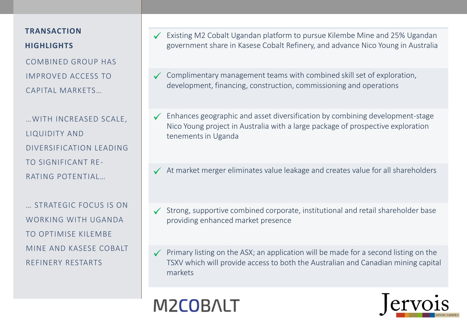# **TRANSACTION HIGHLIGHTS**

COMBINED GROUP HAS IMPROVED ACCESS TO CAPITAL MARKETS…

…WITH INCREASED SCALE, LIQUIDITY AND DIVERSIFICATION LEADING TO SIGNIFICANT RE-RATING POTENTIAL…

… STRATEGIC FOCUS IS ON WORKING WITH UGANDA TO OPTIMISE KILEMBE MINE AND KASESE COBALT REFINERY RESTARTS

- Existing M2 Cobalt Ugandan platform to pursue Kilembe Mine and 25% Ugandan government share in Kasese Cobalt Refinery, and advance Nico Young in Australia
- $\checkmark$  Complimentary management teams with combined skill set of exploration, development, financing, construction, commissioning and operations
- $\checkmark$  Enhances geographic and asset diversification by combining development-stage Nico Young project in Australia with a large package of prospective exploration tenements in Uganda
- $\checkmark$  At market merger eliminates value leakage and creates value for all shareholders
- $\checkmark$  Strong, supportive combined corporate, institutional and retail shareholder base providing enhanced market presence
- $\checkmark$  Primary listing on the ASX; an application will be made for a second listing on the TSXV which will provide access to both the Australian and Canadian mining capital markets



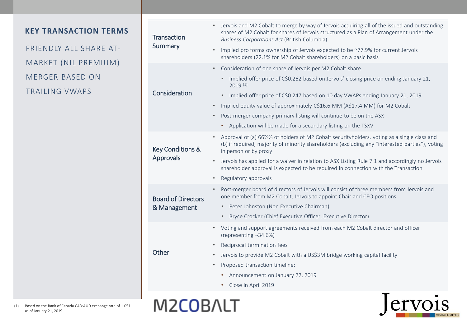## **KEY TRANSACTION TERMS**

FRIENDLY ALL SHARE AT-MARKET (NIL PREMIUM) MERGER BASED ON TRAILING VWAPS

| <b>Transaction</b><br>Summary             | Jervois and M2 Cobalt to merge by way of Jervois acquiring all of the issued and outstanding<br>shares of M2 Cobalt for shares of Jervois structured as a Plan of Arrangement under the<br>Business Corporations Act (British Columbia)<br>Implied pro forma ownership of Jervois expected to be ~77.9% for current Jervois |
|-------------------------------------------|-----------------------------------------------------------------------------------------------------------------------------------------------------------------------------------------------------------------------------------------------------------------------------------------------------------------------------|
|                                           | shareholders (22.1% for M2 Cobalt shareholders) on a basic basis                                                                                                                                                                                                                                                            |
| Consideration                             | Consideration of one share of Jervois per M2 Cobalt share                                                                                                                                                                                                                                                                   |
|                                           | Implied offer price of C\$0.262 based on Jervois' closing price on ending January 21,<br>$\bullet$<br>$2019^{(1)}$                                                                                                                                                                                                          |
|                                           | Implied offer price of C\$0.247 based on 10 day VWAPs ending January 21, 2019<br>$\bullet$                                                                                                                                                                                                                                  |
|                                           | Implied equity value of approximately C\$16.6 MM (A\$17.4 MM) for M2 Cobalt<br>$\bullet$                                                                                                                                                                                                                                    |
|                                           | Post-merger company primary listing will continue to be on the ASX                                                                                                                                                                                                                                                          |
|                                           | • Application will be made for a secondary listing on the TSXV                                                                                                                                                                                                                                                              |
| <b>Key Conditions &amp;</b><br>Approvals  | Approval of (a) 66%% of holders of M2 Cobalt securityholders, voting as a single class and<br>(b) if required, majority of minority shareholders (excluding any "interested parties"), voting<br>in person or by proxy                                                                                                      |
|                                           | Jervois has applied for a waiver in relation to ASX Listing Rule 7.1 and accordingly no Jervois<br>shareholder approval is expected to be required in connection with the Transaction                                                                                                                                       |
|                                           | Regulatory approvals                                                                                                                                                                                                                                                                                                        |
| <b>Board of Directors</b><br>& Management | Post-merger board of directors of Jervois will consist of three members from Jervois and<br>one member from M2 Cobalt, Jervois to appoint Chair and CEO positions                                                                                                                                                           |
|                                           | Peter Johnston (Non Executive Chairman)<br>$\bullet$                                                                                                                                                                                                                                                                        |
|                                           | Bryce Crocker (Chief Executive Officer, Executive Director)<br>$\bullet$                                                                                                                                                                                                                                                    |
| Other                                     | Voting and support agreements received from each M2 Cobalt director and officer<br>(representing -34.6%)                                                                                                                                                                                                                    |
|                                           | Reciprocal termination fees                                                                                                                                                                                                                                                                                                 |
|                                           | Jervois to provide M2 Cobalt with a US\$3M bridge working capital facility                                                                                                                                                                                                                                                  |
|                                           | Proposed transaction timeline:<br>$\bullet$                                                                                                                                                                                                                                                                                 |
|                                           | Announcement on January 22, 2019                                                                                                                                                                                                                                                                                            |
|                                           | Close in April 2019                                                                                                                                                                                                                                                                                                         |
|                                           |                                                                                                                                                                                                                                                                                                                             |



**M2COBALT** 

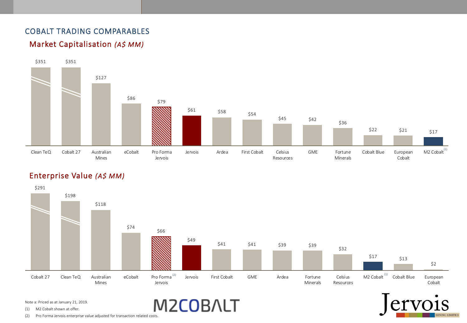# COBALT TRADING COMPARABLES





# Enterprise Value *(A\$ MM)*



M2COBALT

**1S** 

Note a: Priced as at January 21, 2019.

(1) M2 Cobalt shown at offer.

(2) Pro Forma Jervois enterprise value adjusted for transaction related costs.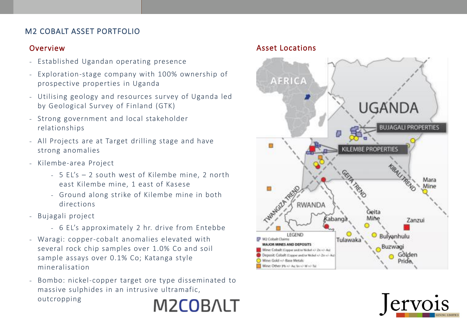# M2 COBALT ASSET PORTFOLIO

## Overview

- Established Ugandan operating presence
- Exploration-stage company with 100% ownership of prospective properties in Uganda
- Utilising geology and resources survey of Uganda led by Geological Survey of Finland (GTK)
- Strong government and local stakeholder relationships
- All Projects are at Target drilling stage and have strong anomalies
- Kilembe-area Project
	- 5 EL's 2 south west of Kilembe mine, 2 north east Kilembe mine, 1 east of Kasese
	- Ground along strike of Kilembe mine in both directions
- Bujagali project
	- 6 EL's approximately 2 hr. drive from Entebbe
- Waragi: copper-cobalt anomalies elevated with several rock chip samples over 1.0% Co and soil sample assays over 0.1% Co; Katanga style mineralisation
- Bombo: nickel-copper target ore type disseminated to massive sulphides in an intrusive ultramafic, outcropping **M2COBALT**

## Asset Locations



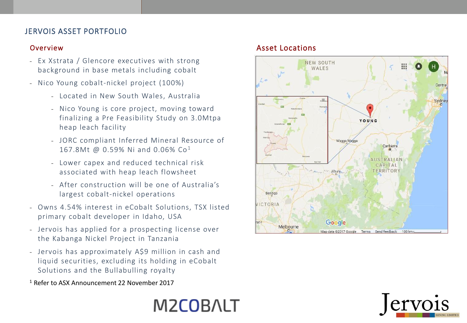# JERVOIS ASSET PORTFOLIO

## Overview

- Ex Xstrata / Glencore executives with strong background in base metals including cobalt
- Nico Young cobalt-nickel project (100%)
	- Located in New South Wales, Australia
	- Nico Young is core project, moving toward finalizing a Pre Feasibility Study on 3.0Mtpa heap leach facility
	- JORC compliant Inferred Mineral Resource of 167.8Mt @ 0.59% Ni and 0.06% Co<sup>1</sup>
	- Lower capex and reduced technical risk associated with heap leach flowsheet
	- After construction will be one of Australia's largest cobalt-nickel operations
- Owns 4.54% interest in eCobalt Solutions, TSX listed primary cobalt developer in Idaho, USA
- Jervois has applied for a prospecting license over the Kabanga Nickel Project in Tanzania
- Jervois has approximately A\$9 million in cash and liquid securities, excluding its holding in eCobalt Solutions and the Bullabulling royalty

<sup>1</sup>Refer to ASX Announcement 22 November 2017

# Asset Locations





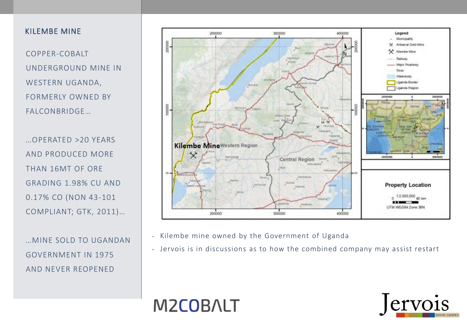### KILEMBE MINE

COPPER-COBALT UNDERGROUND MINE IN WESTERN UGANDA, FORMERLY OWNED BY FALCONBRIDGE…

…OPERATED >20 YEARS AND PRODUCED MORE THAN 16MT OF ORE GRADING 1.98% CU AND 0.17% CO (NON 43-101 COMPLIANT; GTK, 2011)…

…MINE SOLD TO UGANDAN GOVERNMENT IN 1975 AND NEVER REOPENED



- Kilembe mine owned by the Government of Uganda
- Jervois is in discussions as to how the combined company may assist restart